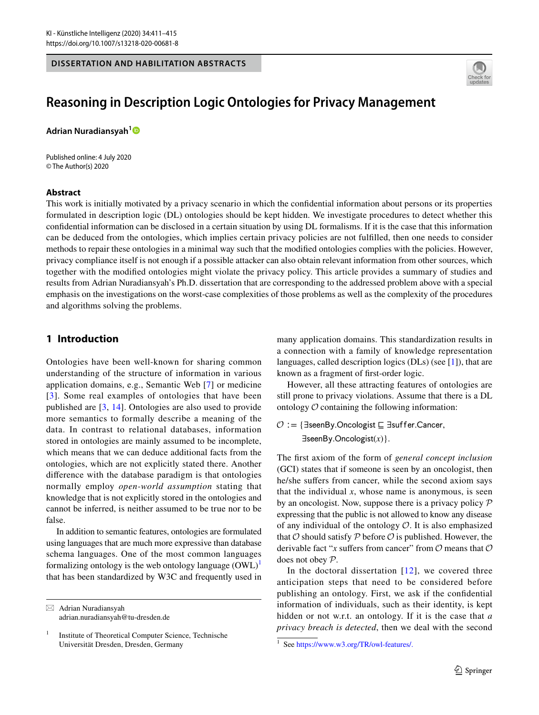#### **DISSERTATION AND HABILITATION ABSTRACTS**



# **Reasoning in Description Logic Ontologies for Privacy Management**

**Adrian Nuradiansyah[1](http://orcid.org/0000-0002-9047-7624)**

Published online: 4 July 2020 © The Author(s) 2020

#### **Abstract**

This work is initially motivated by a privacy scenario in which the confdential information about persons or its properties formulated in description logic (DL) ontologies should be kept hidden. We investigate procedures to detect whether this confdential information can be disclosed in a certain situation by using DL formalisms. If it is the case that this information can be deduced from the ontologies, which implies certain privacy policies are not fulflled, then one needs to consider methods to repair these ontologies in a minimal way such that the modifed ontologies complies with the policies. However, privacy compliance itself is not enough if a possible attacker can also obtain relevant information from other sources, which together with the modifed ontologies might violate the privacy policy. This article provides a summary of studies and results from Adrian Nuradiansyah's Ph.D. dissertation that are corresponding to the addressed problem above with a special emphasis on the investigations on the worst-case complexities of those problems as well as the complexity of the procedures and algorithms solving the problems.

## <span id="page-0-1"></span>**1 Introduction**

Ontologies have been well-known for sharing common understanding of the structure of information in various application domains, e.g., Semantic Web [[7](#page-4-0)] or medicine [[3\]](#page-4-1). Some real examples of ontologies that have been published are [[3,](#page-4-1) [14\]](#page-4-2). Ontologies are also used to provide more semantics to formally describe a meaning of the data. In contrast to relational databases, information stored in ontologies are mainly assumed to be incomplete, which means that we can deduce additional facts from the ontologies, which are not explicitly stated there. Another diference with the database paradigm is that ontologies normally employ *open-world assumption* stating that knowledge that is not explicitly stored in the ontologies and cannot be inferred, is neither assumed to be true nor to be false.

In addition to semantic features, ontologies are formulated using languages that are much more expressive than database schema languages. One of the most common languages formalizing ontology is the web ontology language  $(OWL)^{1}$  $(OWL)^{1}$  $(OWL)^{1}$ that has been standardized by W3C and frequently used in

 $\boxtimes$  Adrian Nuradiansyah adrian.nuradiansyah@tu-dresden.de many application domains. This standardization results in a connection with a family of knowledge representation languages, called description logics (DLs) (see [\[1](#page-4-3)]), that are known as a fragment of frst-order logic.

However, all these attracting features of ontologies are still prone to privacy violations. Assume that there is a DL ontology  $\mathcal O$  containing the following information:

 $O :=$ { ∃seen By. On cologist  $\sqsubseteq$  ∃suffer. Cancer, ∃seenBy.Oncologist(x) }.

The frst axiom of the form of *general concept inclusion* (GCI) states that if someone is seen by an oncologist, then he/she suffers from cancer, while the second axiom says that the individual  $x$ , whose name is anonymous, is seen by an oncologist. Now, suppose there is a privacy policy  $P$ expressing that the public is not allowed to know any disease of any individual of the ontology  $\mathcal O$ . It is also emphasized that  $O$  should satisfy  $P$  before  $O$  is published. However, the derivable fact "*x* suffers from cancer" from  $\mathcal O$  means that  $\mathcal O$ does not obey P.

In the doctoral dissertation  $[12]$  $[12]$ , we covered three anticipation steps that need to be considered before publishing an ontology. First, we ask if the confdential information of individuals, such as their identity, is kept hidden or not w.r.t. an ontology. If it is the case that *a privacy breach is detected*, then we deal with the second

<sup>&</sup>lt;sup>1</sup> Institute of Theoretical Computer Science, Technische Universität Dresden, Dresden, Germany 1 See <https://www.w3.org/TR/owl-features/.>

<span id="page-0-0"></span>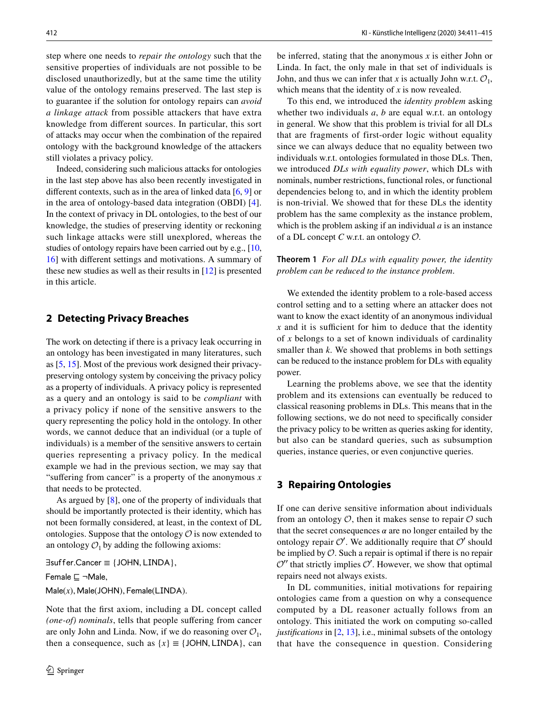step where one needs to *repair the ontology* such that the sensitive properties of individuals are not possible to be disclosed unauthorizedly, but at the same time the utility value of the ontology remains preserved. The last step is to guarantee if the solution for ontology repairs can *avoid a linkage attack* from possible attackers that have extra knowledge from diferent sources. In particular, this sort of attacks may occur when the combination of the repaired ontology with the background knowledge of the attackers still violates a privacy policy.

Indeed, considering such malicious attacks for ontologies in the last step above has also been recently investigated in different contexts, such as in the area of linked data  $[6, 9]$  $[6, 9]$  $[6, 9]$  $[6, 9]$  or in the area of ontology-based data integration (OBDI) [[4](#page-4-7)]. In the context of privacy in DL ontologies, to the best of our knowledge, the studies of preserving identity or reckoning such linkage attacks were still unexplored, whereas the studies of ontology repairs have been carried out by e.g., [[10,](#page-4-8) [16](#page-4-9)] with diferent settings and motivations. A summary of these new studies as well as their results in [\[12](#page-4-4)] is presented in this article.

## **2 Detecting Privacy Breaches**

The work on detecting if there is a privacy leak occurring in an ontology has been investigated in many literatures, such as [[5,](#page-4-10) [15](#page-4-11)]. Most of the previous work designed their privacypreserving ontology system by conceiving the privacy policy as a property of individuals. A privacy policy is represented as a query and an ontology is said to be *compliant* with a privacy policy if none of the sensitive answers to the query representing the policy hold in the ontology. In other words, we cannot deduce that an individual (or a tuple of individuals) is a member of the sensitive answers to certain queries representing a privacy policy. In the medical example we had in the previous section, we may say that "suffering from cancer" is a property of the anonymous x that needs to be protected.

As argued by  $[8]$  $[8]$ , one of the property of individuals that should be importantly protected is their identity, which has not been formally considered, at least, in the context of DL ontologies. Suppose that the ontology  $\mathcal O$  is now extended to an ontology  $\mathcal{O}_1$  by adding the following axioms:

∃suffer.Cancer ≡ {JOHN, LINDA},

Female **⊑** ¬Male,

Male(x), Male(JOHN), Female(LINDA).

Note that the frst axiom, including a DL concept called *(one-of) nominals*, tells that people suffering from cancer are only John and Linda. Now, if we do reasoning over  $\mathcal{O}_1$ , then a consequence, such as  ${x} \equiv$  {JOHN, LINDA}, can be inferred, stating that the anonymous *x* is either John or Linda. In fact, the only male in that set of individuals is John, and thus we can infer that *x* is actually John w.r.t.  $\mathcal{O}_1$ , which means that the identity of *x* is now revealed.

To this end, we introduced the *identity problem* asking whether two individuals *a*, *b* are equal w.r.t. an ontology in general. We show that this problem is trivial for all DLs that are fragments of first-order logic without equality since we can always deduce that no equality between two individuals w.r.t. ontologies formulated in those DLs. Then, we introduced *DLs with equality power*, which DLs with nominals, number restrictions, functional roles, or functional dependencies belong to, and in which the identity problem is non-trivial. We showed that for these DLs the identity problem has the same complexity as the instance problem, which is the problem asking if an individual *a* is an instance of a DL concept *C* w.r.t. an ontology O.

**Theorem 1** *For all DLs with equality power, the identity problem can be reduced to the instance problem*.

We extended the identity problem to a role-based access control setting and to a setting where an attacker does not want to know the exact identity of an anonymous individual  $x$  and it is sufficient for him to deduce that the identity of *x* belongs to a set of known individuals of cardinality smaller than *k*. We showed that problems in both settings can be reduced to the instance problem for DLs with equality power.

Learning the problems above, we see that the identity problem and its extensions can eventually be reduced to classical reasoning problems in DLs. This means that in the following sections, we do not need to specifcally consider the privacy policy to be written as queries asking for identity, but also can be standard queries, such as subsumption queries, instance queries, or even conjunctive queries.

#### **3 Repairing Ontologies**

If one can derive sensitive information about individuals from an ontology  $\mathcal{O}$ , then it makes sense to repair  $\mathcal O$  such that the secret consequences  $\alpha$  are no longer entailed by the ontology repair  $O'$ . We additionally require that  $O'$  should be implied by  $O$ . Such a repair is optimal if there is no repair  $O''$  that strictly implies  $O'$ . However, we show that optimal repairs need not always exists.

In DL communities, initial motivations for repairing ontologies came from a question on why a consequence computed by a DL reasoner actually follows from an ontology. This initiated the work on computing so-called *justifcations* in [[2,](#page-4-13) [13](#page-4-14)], i.e., minimal subsets of the ontology that have the consequence in question. Considering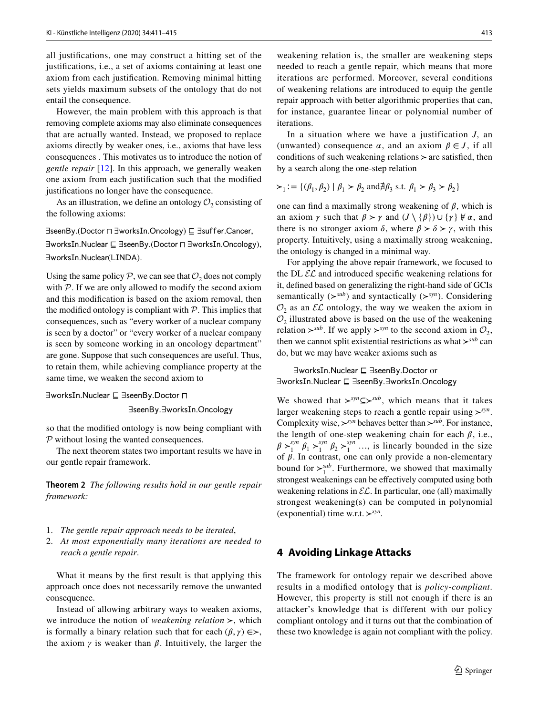all justifcations, one may construct a hitting set of the justifcations, i.e., a set of axioms containing at least one axiom from each justifcation. Removing minimal hitting sets yields maximum subsets of the ontology that do not entail the consequence.

However, the main problem with this approach is that removing complete axioms may also eliminate consequences that are actually wanted. Instead, we proposed to replace axioms directly by weaker ones, i.e., axioms that have less consequences . This motivates us to introduce the notion of *gentle repair* [[12](#page-4-4)]. In this approach, we generally weaken one axiom from each justifcation such that the modifed justifcations no longer have the consequence.

As an illustration, we define an ontology  $\mathcal{O}_2$  consisting of the following axioms:

∃seenBy.(Doctor n ∃worksIn.Oncology) ⊑ ∃suffer.Cancer,

∃worksIn.Nuclear ⊑ ∃seenBy.(Doctor ⊓ ∃worksIn.Oncology), ∃worksIn.Nuclear(LINDA).

Using the same policy  $P$ , we can see that  $O_2$  does not comply with  $P$ . If we are only allowed to modify the second axiom and this modifcation is based on the axiom removal, then the modified ontology is compliant with  $P$ . This implies that consequences, such as "every worker of a nuclear company is seen by a doctor" or "every worker of a nuclear company is seen by someone working in an oncology department" are gone. Suppose that such consequences are useful. Thus, to retain them, while achieving compliance property at the same time, we weaken the second axiom to

∃worksIn.Nuclear ⊑ ∃seenBy.Doctor **⊓** 

∃seenBy.∃worksIn.Oncology

so that the modifed ontology is now being compliant with P without losing the wanted consequences.

The next theorem states two important results we have in our gentle repair framework.

**Theorem 2** *The following results hold in our gentle repair framework:*

- 1. *The gentle repair approach needs to be iterated*,
- 2. *At most exponentially many iterations are needed to reach a gentle repair*.

What it means by the frst result is that applying this approach once does not necessarily remove the unwanted consequence.

Instead of allowing arbitrary ways to weaken axioms, we introduce the notion of *weakening relation ≻*, which is formally a binary relation such that for each  $(\beta, \gamma) \in \succ$ , the axiom  $\gamma$  is weaker than  $\beta$ . Intuitively, the larger the

weakening relation is, the smaller are weakening steps needed to reach a gentle repair, which means that more iterations are performed. Moreover, several conditions of weakening relations are introduced to equip the gentle repair approach with better algorithmic properties that can, for instance, guarantee linear or polynomial number of iterations.

In a situation where we have a justification *J*, an (unwanted) consequence  $\alpha$ , and an axiom  $\beta \in J$ , if all conditions of such weakening relations *≻* are satisfed, then by a search along the one-step relation

$$
\succ_1 := \{ (\beta_1, \beta_2) \mid \beta_1 \succ \beta_2 \text{ and } \nexists \beta_3 \text{ s.t. } \beta_1 \succ \beta_3 \succ \beta_2 \}
$$

one can find a maximally strong weakening of  $\beta$ , which is an axiom  $\gamma$  such that  $\beta > \gamma$  and  $(J \setminus {\{\beta\}}) \cup {\{\gamma\}} \neq \alpha$ , and there is no stronger axiom  $\delta$ , where  $\beta > \delta > \gamma$ , with this property. Intuitively, using a maximally strong weakening, the ontology is changed in a minimal way.

For applying the above repair framework, we focused to the DL  $\mathcal{EL}$  and introduced specific weakening relations for it, defned based on generalizing the right-hand side of GCIs semantically (*≻sub*) and syntactically (*≻syn*). Considering  $\mathcal{O}_2$  as an  $\mathcal{EL}$  ontology, the way we weaken the axiom in  $\mathcal{O}_2$  illustrated above is based on the use of the weakening relation *≻*<sup>*sub*</sup>. If we apply *≻*<sup>*syn*</sup> to the second axiom in  $\mathcal{O}_2$ , then we cannot split existential restrictions as what *≻sub* can do, but we may have weaker axioms such as

∃worksIn.Nuclear ⊑ ∃seenBy.Doctor or ∃worksIn.Nuclear ⊑ ∃seenBy.∃worksIn.Oncology

We showed that *≻syn⊆≻sub* , which means that it takes larger weakening steps to reach a gentle repair using *≻syn*. Complexity wise, *≻syn* behaves better than *≻sub*. For instance, the length of one-step weakening chain for each  $\beta$ , i.e.,  $\beta >_1^{syn} \beta_1 >_1^{syn} \beta_2 >_1^{syn} \dots$ , is linearly bounded in the size of  $\beta$ . In contrast, one can only provide a non-elementary bound for  $\succ_1^{sub}$ . Furthermore, we showed that maximally strongest weakenings can be efectively computed using both weakening relations in  $\mathcal{EL}$ . In particular, one (all) maximally strongest weakening(s) can be computed in polynomial (exponential) time w.r.t. *≻syn*.

#### **4 Avoiding Linkage Attacks**

The framework for ontology repair we described above results in a modifed ontology that is *policy-compliant*. However, this property is still not enough if there is an attacker's knowledge that is different with our policy compliant ontology and it turns out that the combination of these two knowledge is again not compliant with the policy.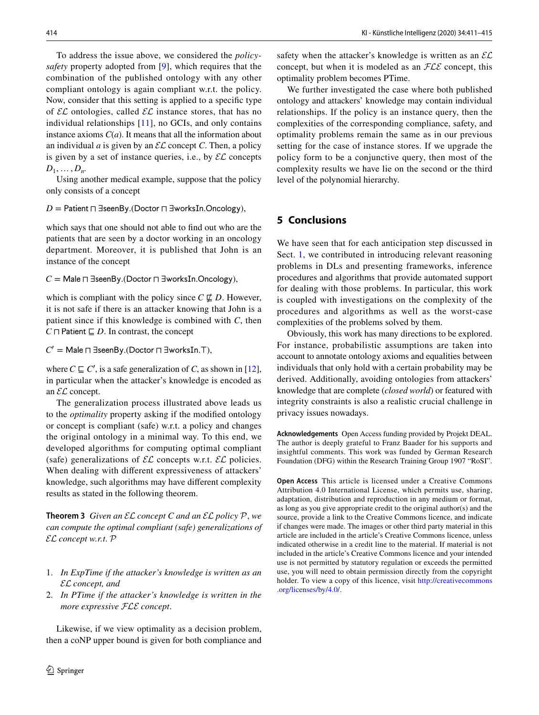To address the issue above, we considered the *policysafety* property adopted from [[9\]](#page-4-6), which requires that the combination of the published ontology with any other compliant ontology is again compliant w.r.t. the policy. Now, consider that this setting is applied to a specifc type of  $\mathcal{EL}$  ontologies, called  $\mathcal{EL}$  instance stores, that has no individual relationships [[11\]](#page-4-15), no GCIs, and only contains instance axioms  $C(a)$ . It means that all the information about an individual *a* is given by an  $\mathcal{EL}$  concept *C*. Then, a policy is given by a set of instance queries, i.e., by  $\mathcal{EL}$  concepts  $D_1, \ldots, D_n$ .

Using another medical example, suppose that the policy only consists of a concept

*D* = Patient  $\sqcap$  ∃seenBy.(Doctor  $\sqcap$  ∃worksIn.Oncology),

which says that one should not able to fnd out who are the patients that are seen by a doctor working in an oncology department. Moreover, it is published that John is an instance of the concept

*C* = Male  $\sqcap$  ∃seenBy.(Doctor  $\sqcap$  ∃worksIn.Oncology),

which is compliant with the policy since  $C \not\sqsubseteq D$ . However, it is not safe if there is an attacker knowing that John is a patient since if this knowledge is combined with *C*, then *C*  $\Box$  **Patient**  $\Box$  *D*. In contrast, the concept

*C*<sup> $\prime$ </sup> = Male  $\Box$  ∃seenBy.(Doctor  $\Box$  ∃worksIn. *⊤*),

where  $C \subseteq C'$ , is a safe generalization of *C*, as shown in [\[12](#page-4-4)], in particular when the attacker's knowledge is encoded as an EL concept.

The generalization process illustrated above leads us to the *optimality* property asking if the modifed ontology or concept is compliant (safe) w.r.t. a policy and changes the original ontology in a minimal way. To this end, we developed algorithms for computing optimal compliant (safe) generalizations of  $\mathcal{EL}$  concepts w.r.t.  $\mathcal{EL}$  policies. When dealing with diferent expressiveness of attackers' knowledge, such algorithms may have diferent complexity results as stated in the following theorem.

**Theorem 3** *Given an* EL *concept C and an* EL *policy* P, *we can compute the optimal compliant (safe) generalizations of*  EL *concept w.r.t*. P

- 1. *In ExpTime if the attacker's knowledge is written as an*  EL *concept, and*
- 2. *In PTime if the attacker's knowledge is written in the more expressive* FLE *concept*.

Likewise, if we view optimality as a decision problem, then a coNP upper bound is given for both compliance and safety when the attacker's knowledge is written as an  $\mathcal{EL}$ concept, but when it is modeled as an  $FLE$  concept, this optimality problem becomes PTime.

We further investigated the case where both published ontology and attackers' knowledge may contain individual relationships. If the policy is an instance query, then the complexities of the corresponding compliance, safety, and optimality problems remain the same as in our previous setting for the case of instance stores. If we upgrade the policy form to be a conjunctive query, then most of the complexity results we have lie on the second or the third level of the polynomial hierarchy.

# **5 Conclusions**

We have seen that for each anticipation step discussed in Sect. [1,](#page-0-1) we contributed in introducing relevant reasoning problems in DLs and presenting frameworks, inference procedures and algorithms that provide automated support for dealing with those problems. In particular, this work is coupled with investigations on the complexity of the procedures and algorithms as well as the worst-case complexities of the problems solved by them.

Obviously, this work has many directions to be explored. For instance, probabilistic assumptions are taken into account to annotate ontology axioms and equalities between individuals that only hold with a certain probability may be derived. Additionally, avoiding ontologies from attackers' knowledge that are complete (*closed world*) or featured with integrity constraints is also a realistic crucial challenge in privacy issues nowadays.

**Acknowledgements** Open Access funding provided by Projekt DEAL. The author is deeply grateful to Franz Baader for his supports and insightful comments. This work was funded by German Research Foundation (DFG) within the Research Training Group 1907 "RoSI".

**Open Access** This article is licensed under a Creative Commons Attribution 4.0 International License, which permits use, sharing, adaptation, distribution and reproduction in any medium or format, as long as you give appropriate credit to the original author(s) and the source, provide a link to the Creative Commons licence, and indicate if changes were made. The images or other third party material in this article are included in the article's Creative Commons licence, unless indicated otherwise in a credit line to the material. If material is not included in the article's Creative Commons licence and your intended use is not permitted by statutory regulation or exceeds the permitted use, you will need to obtain permission directly from the copyright holder. To view a copy of this licence, visit [http://creativecommons](http://creativecommons.org/licenses/by/4.0/) [.org/licenses/by/4.0/.](http://creativecommons.org/licenses/by/4.0/)